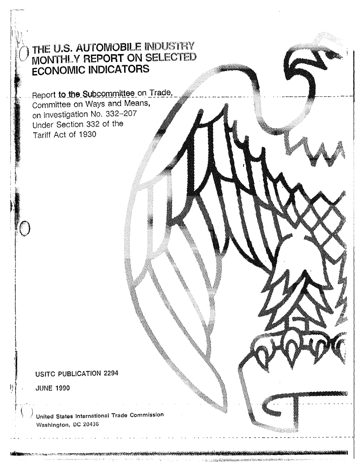# THE U.S. AUTOMOBILE INDUSTRY<br>MONTHLY REPORT ON SELECTED **ECONOMIC INDICATORS**

Report to the Subcommittee on Trade, Committee on Ways and Means, on Investigation No. 332-207 Under Section 332 of the Tariff Act of 1930

## **USITC PUBLICATION 2294**

**JUNE 1990** 

United States International Trade Commission Washington, DC 20436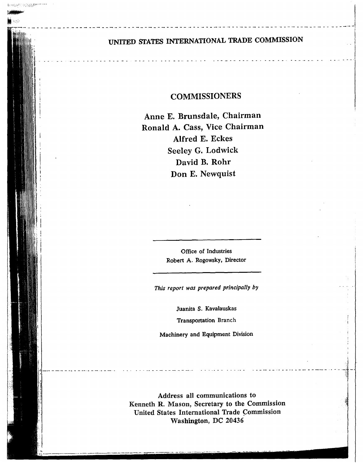## UNITED STATES INTERNATIONAL TRADE COMMISSION

A PASSA

## **COMMISSIONERS**

Anne E. Brunsdale, Chairman Ronald A. Cass, Vice Chairman Alfred E. Eckes Seeley G. Lodwick David B. Rohr Don E. Newquist

> Office of Industries Robert A. Rogowsky, Director

This report was prepared principally by

Juanita S. Kavalauskas Transportation Branch

Machinery and Equipment Division

Address all communications to Kenneth R. Mason, Secretary to the Commission United States International Trade Commission Washington, DC 20436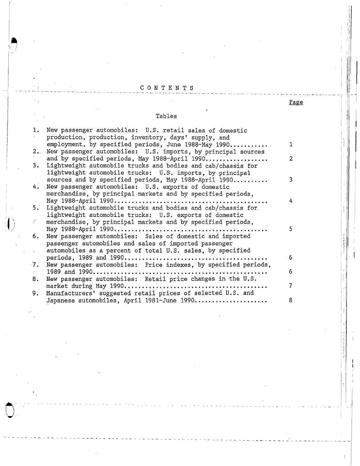## C 0 N T E N T S - - - - - - - - - - - - - - - - - - - - - - - - - - - - - - - - -- - - - - - - - - - - - - - - - - --- ---- -- ·- - - ·-- - - - - - ·- - -- - - -- - -

 $\sqrt{ }$  .

ntra<br>Johannes<br>Johannes (1985)

 $\ddot{\hspace{1cm}}$ 

"I , r I ~: :

I:

### Tables

| 1.                         | New passenger automobiles: U.S. retail sales of domestic         |     |
|----------------------------|------------------------------------------------------------------|-----|
|                            | production, production, inventory, days' supply, and             |     |
|                            | employment, by specified periods, June 1988-May 1990             | 1   |
|                            | 2. New passenger automobiles: U.S. imports, by principal sources |     |
|                            | and by specified periods, May 1988-April 1990                    | 2   |
| 3.                         | Lightweight automobile trucks and bodies and cab/chassis for     |     |
|                            | lightweight automobile trucks: U.S. imports, by principal        |     |
|                            |                                                                  | 3   |
|                            | sources and by specified periods, May 1988-April 1990            |     |
| 4.                         | New passenger automobiles: U.S. exports of domestic              |     |
|                            | merchandise, by principal markets and by specified periods,      |     |
|                            |                                                                  | 4   |
| 5.                         | Lightweight automobile trucks and bodies and cab/chassis for     |     |
|                            | lightweight automobile trucks: U.S. exports of domestic          |     |
| 27                         | merchandise, by principal markets and by specified periods,      |     |
|                            |                                                                  | 5   |
| 6.                         | New passenger automobiles: Sales of domestic and imported        |     |
|                            | passenger automobiles and sales of imported passenger            |     |
| $\mathcal{E}^{(1)}$        | automobiles as a percent of total U.S. sales, by specified       |     |
|                            |                                                                  | - 6 |
| 7.                         | New passenger automobiles: Price indexes, by specified periods,  |     |
|                            |                                                                  | 6   |
| $\mathbf{y} \rightarrow -$ |                                                                  |     |
| 8.                         | New passenger automobiles: Retail price changes in the U.S.      |     |
|                            |                                                                  | 7   |
| 9.                         | Manufacturers' suggested retail prices of selected U.S. and      |     |
|                            | Japanese automobiles, April 1981-June 1990                       | 8   |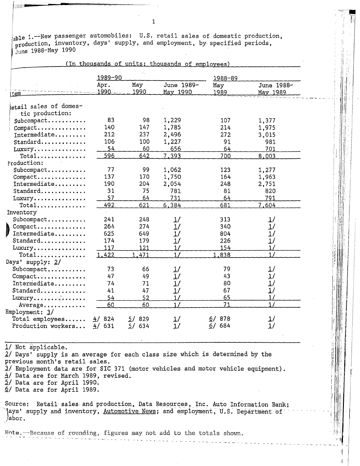$a$ ble 1.--New passenger automobiles: U.S. retail sales of domestic production, able 1.--New passenger automobiles. 0.0. Iecall sales of domestic production, inventory, days' supply, and employment, by specified periods, June 1988-May 1990<br>June 1988-May 1990<br>(In thousands of units: thousands of employ June 1988-May 1990

|                         |                   |             | (In thousands of units; thousands of employees) |             |                        |
|-------------------------|-------------------|-------------|-------------------------------------------------|-------------|------------------------|
|                         | 1989-90           |             |                                                 | 1988-89     |                        |
|                         | Apr.<br>$-1990 -$ | May<br>1990 | June 1989-<br>May 1990                          | May<br>1989 | June 1988-<br>May 1989 |
| <u>item</u>             |                   |             |                                                 |             |                        |
| letail sales of domes-  |                   |             |                                                 |             |                        |
| tic production:         |                   |             |                                                 |             |                        |
| Subcompact              | 83                | 98          | 1,229                                           | 107         | 1,377                  |
| Compare                 | 140               | 147         | 1,785                                           | 214         | 1,975                  |
| Intermediate            | 212               | 237         | 2,496                                           | 272         | 3,015                  |
| Standard                | 106               | 100         | 1,227                                           | 91          | 981                    |
| Luxury                  | 54                | 60          | 656                                             | 64          | 701                    |
| $Total$                 | 596               | 642         | 7,393                                           | 700         | 8,003                  |
| Production:             |                   |             |                                                 |             |                        |
| $Subcompact \ldots$     | 77                | 99          | 1,062                                           | 123         | 1,277                  |
| Compact                 | 137               | 170         | 1,750                                           | 164         | 1,963                  |
| Intermediate            | 190               | 204         | 2,054                                           | 248         | 2,751                  |
| Standard                | 31                | 75          | 781                                             | 81          | 820                    |
| Luxury                  | 57                | 64          | 731                                             | 64          | 791                    |
| $Total$                 | 492               | 621         | 6,384                                           | 681         | 7,604                  |
| Inventory               |                   |             |                                                 |             |                        |
| Subcompact              | 241               | 248         | 1/                                              | 313         | 1/                     |
| Compact<br>Intermediate | 264               | 274         | 1/                                              | 340         | 1/                     |
| Intermediate            | 625               | 649         | 1/                                              | 804         | 1/                     |
| Standard                | 174               | 179         | 1/                                              | 226         | 1/                     |
| Luxury                  | 117               | 121         | 1/                                              | 154         | 1/                     |
| $Total$                 | 1,422             | 1.471       | 1/                                              | 1,838       | 1/                     |
| Days' supply: 2/        |                   |             |                                                 |             |                        |
| Subcompact              | 73                | 66          | 1/                                              | 79          | 1/                     |
| Compact                 | 47                | 49          | $\frac{1}{2}$                                   | 43          | 1/                     |
| Intermediate            | 74                | 71          | 1/                                              | 80          | 1/                     |
| Standard                | 41                | 47          | 1/                                              | 67          | 1/                     |
| Luxury                  | 54                | 52          | 1/                                              | 65          | 1/                     |
| Average                 | 60                | 60          | 1/                                              | 71          | 1/                     |
| Employment: 3/          |                   |             |                                                 |             |                        |
| $Total$ employees       | 824<br>4/         | 5/<br>829   | 1/                                              | 6/878       | 1/                     |
| Production workers      | 631<br>4/         | 5/634       | 1/                                              | 6/684       | 1/                     |

1/ Not applicable. 2/ Days' supply is an average for each class size which is determined by the previous month's retail sales.  $3/$  Employment data are for SIC 371 (motor vehicles and motor vehicle equipment). !±/ Data are for March 1989, revised. 2/ Data are for April 1990,

*§./* Data are for April 1989.

2s.C

Source: Retail-sales and production, Data Resources, Inc. Auto Information Bank; 'ays' supply and inventory, Automotive News; and employment, U.S. Department of ,' abor.

Note.--Because of rounding, figures may not add to the totals shown.

-------- - - - - - - - ---- - - - - - ---- - - - - -- - <sup>+</sup>

,; *n* 

4

1

 $\frac{1}{1!}$  .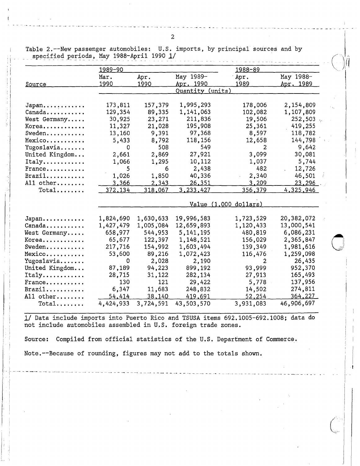Table 2.--New passenger automobiles: U.S. imports, by principal sources and by specified periods, May 1988-April 1990 1/

-- -- ---.. - - - - - - - - -- - - -- - - - - - - - - - -- -- - -- - - .... - - -~ - - - - - -- - - \_...,. - - -- -

ii ; I  $\frac{1}{1}$ 

.~ I

|                       | 1989-90       |               |                              | 1988-89   |                  |  |  |
|-----------------------|---------------|---------------|------------------------------|-----------|------------------|--|--|
|                       | Mar.          | Apr.          | May 1989-                    | Apr.      | May 1988-        |  |  |
| <u>Source</u>         | <u> 1990 </u> | 1990          | <u>Apr. 1990</u>             | 1989      | <u>Apr. 1989</u> |  |  |
|                       |               |               | <u>Quantity (units)</u>      |           |                  |  |  |
| $Japan$               | 173,811       | 157,379       | 1,995,293                    | 178,006   | 2,154,809        |  |  |
| Canada                | 129,354       | 89,335        | 1,141,063                    | 102,082   | 1,107,809        |  |  |
| West Germany          | 30,925        | 23,271        | 211,836                      | 19,506    | 252,503          |  |  |
| Korea                 | 11,327        | 21,028        | 195,908                      | 25,361    | 419,255          |  |  |
| Sweden                | 13,160        | 9,391         | 97,368                       | 8,597     | 118,782          |  |  |
| Mexico                | 5,433         | 8,792         | 118,156                      | 12,658    | 144,798          |  |  |
| Yugoslavia            | 0             | 508           | 549                          | 2         | 9,642            |  |  |
| United Kingdom        | 2,661         | 2,869         | 27,921                       | 3,099     | 30,081           |  |  |
| Italy                 | 1,066         | 1,295         | 10,112                       | 1,037     | 5,744            |  |  |
| France                | 5             | 6             | 2,438                        | 482       | 12,726           |  |  |
| $Brazil$              | 1,026         | 1,850         | 40,336                       | 2,340     | 46,501           |  |  |
| All other             | 3,366         | 2,343         | 26,351                       | 3,209     | 23,296           |  |  |
| $Total$               | 372,134       | 318,067       | 3,233,427                    | 356,379   | 4,325,946        |  |  |
|                       |               |               | <u>Value (1,000 dollars)</u> |           |                  |  |  |
|                       |               |               |                              |           |                  |  |  |
| Japan                 | 1,824,690     | 1,630,633     | 19,996,583                   | 1,723,529 | 20,382,072       |  |  |
| Canada                | 1,427,479     | 1,005,084     | 12,659,893                   | 1,120,433 | 13,000,541       |  |  |
| West Germany          | 658,977       | 544,953       | 5, 141, 195                  | 480,819   | 6,086,231        |  |  |
| Korea                 | 65,677        | 122,397       | 1,148,521                    | 156,029   | 2,365,847        |  |  |
| Sweden                | 217,716       | 154,992       | 1,603,494                    | 139,349   | 1,981,616        |  |  |
| Mexico                | 53,600        | 89,216        | 1,072,423                    | 116,476   | 1,259,098        |  |  |
| Yugoslavia            | 0             | 2,028         | 2,190                        | 2         | 26,435           |  |  |
| United Kingdom        | 87,189        | 94,223        | 899,192                      | 93,999    | 952,370          |  |  |
| $Italy \ldots \ldots$ | 28,715        | 31,122        | 282,134                      | 27,913    | 165,493          |  |  |
| France                | 130           | 121           | 29,422                       | 5,778     | 137,956          |  |  |
| Brazi1                | 6,347         | 11,683        | 248,832                      | 14,502    | 274,811          |  |  |
| All other             | 54,414        | <u>38,140</u> | 419,691                      | 52,254    | 364,227          |  |  |
| $Total$               | 4,424,933     | 3,724,591     | 43,503,570                   | 3,931,083 | 46,906,697       |  |  |

1/ Data include imports into Puerto Rico and TSUSA items 692.1005-692.1008; data do not include automobiles assembled in U.S. foreign trade zones.

Source: Compiled from official statistics of the U.S. Department of Commerce.

- I- - - - - --- - -- - --- -- - - - - - ---- - - - - -- - - -· - - - - - - - - -·- - - -- - - -- - - -- - - - - - -- - - -- - - - -- - - - - --- - -- - - . - <sup>I</sup>

Note.--Because of rounding, figures may not add to the totals shown.

 $\begin{pmatrix} 1 & 1 \\ 1 & 1 \end{pmatrix}$ 

I

 $\vert$ 

 $\overline{\phantom{a}}$ 

0

 $\cdot$  ( )  $\mathbf{a}$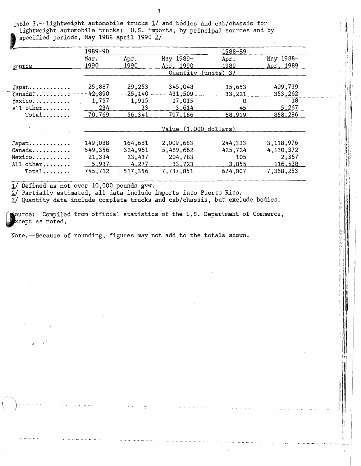$_{\text{Table 3.}}$ --Lightweight automobile trucks 1/ and bodies and cab/chassis for lightweight automobile trucks: U.S. imports, by principal sources and by specified periods, May 1988-April 1990 2/

| سبيحا     | 1989-90 |             |                       | 1988-89      |           |
|-----------|---------|-------------|-----------------------|--------------|-----------|
|           | Mar.    | Apr.        | May 1989-             | Apr.         | May 1988- |
| Source    | 1990    | 1990        | Apr. 1990             | 1989         | Apr. 1989 |
|           |         |             | Quantity              | $(units)$ 3/ |           |
|           |         |             |                       |              |           |
| Japan     | 25,887  | 29,253      | 345,048               | 35,653       | 499,739   |
| Canada    | 42,890  | $-25 - 140$ | $-431,509$            | 33,221       | 353,262   |
| Mexico    | 1,757   | 1,915       | 17,015                | O            | 18        |
| All other | 234     | 33          | 3,614                 | 45           | 5,267     |
| $Total$   | 70,769  | 56,341      | 797,186               | 68,919       | 858,286   |
|           |         |             | Value (1.000 dollars) |              |           |
|           |         |             |                       |              |           |
| Japan     | 149,088 | 164,681     | 2,009,683             | 244,323      | 3,118,976 |
| Canada    | 549,356 | 324,961     | 5,489,662             | 425,724      | 4,130,372 |
| Mexico    | 21,334  | 23,437      | 204,783               | 105          | 2,367     |
| All other | 5,937   | 4,277       | 33,723                | 3,855        | 116,538   |
|           |         |             |                       |              |           |
| $Total$   | 745,712 | 517,356     | 7,737,851             | 674,007      | 7,368,253 |

1/ Defined as not over 10,000 pounds gvw.

ż,

2/ Partially estimated, all data include imports into Puerto Rico.

 $\overline{3}$ / Quantity data include complete trucks and cab/chassis, but exclude bodies.

ource: Compiled from official statistics of the U.S. Department of Commerce, xcept as noted.

Ħ

Note.--Because of rounding, figures may not add to the totals shown.

3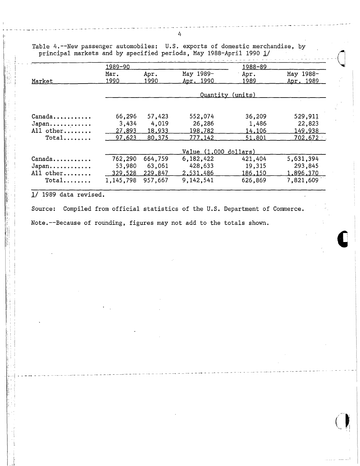|           | 1989-90   |         |                         | 1988-89          |                |
|-----------|-----------|---------|-------------------------|------------------|----------------|
|           | Mar.      | Apr.    | May 1989-               | Apr.             | May 1988-      |
| Market    | 1990      | 1990    | Apr. 1990               | 1989             | Apr. 1989      |
|           |           |         |                         | Quantity (units) |                |
|           |           |         |                         |                  |                |
| Canada    | 66,296    | 57,423  | 552,074                 | 36,209           | 529,911        |
| Japan     | 3,434     | 4,019   | 26,286                  | 1,486            | 22,823         |
| All other | 27,893    | 18,933  | 198,782                 | 14,106           | <u>149,938</u> |
| $Total$   | 97,623    | 80,375  | <u>777,142</u>          | 51,801           | 702,672        |
|           |           |         | $Value (1,000$ dollars) |                  |                |
| Canada    | 762,290   | 664,759 | 6,182,422               | 421,404          | 5,631,394      |
| Japan     | 53,980    | 63,061  | 428,633                 | 19,315           | 293,845        |
| All other | 329,528   | 229,847 | 2,531,486               | 186,150          | 1,896,370      |
| $Total$   | 1,145,798 | 957,667 | 9,142,541               | 626,869          | 7,821,609      |

Table 4.--New passenger automobiles: U.S. exports of domestic merchandise, by principal markets and by specified periods, May 1988-April 1990 1/

--- ------ ------ --- ---~-

 $1/$  1989 data revised.

i, I

> <sup>~</sup>'. ''

Source: Compiled from official statistics of the U.S. Department of Commerce. Note.--Because of rounding, figures may not add to the totals shown.

' -,-1 . - - - - - -· - - --- - --- - - - - - - - -- - ---- - -- - - -- - - -- - - - - - -- - - - - - -- - - - - - 4 --------

- -- - - -4 - - -4 - - -- - -

 $\bigcup$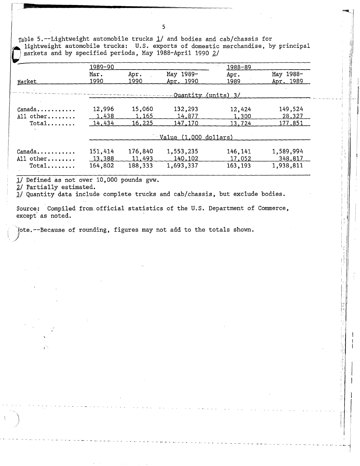Table 5.--Lightweight automobile trucks  $1/$  and bodies and cab/chassis for lightweight automobile trucks: U.S. exports of domestic merchandise, by principal markets and by specified periods, May 1988-April 1990 2/

|                               | 1989-90 |         |                               | 1988-89  |           |
|-------------------------------|---------|---------|-------------------------------|----------|-----------|
|                               | Mar.    | Apr.    | May 1989-                     | Apr.     | May 1988- |
| Market                        | 1990    | 1990    | Apr, 1990                     | 1989     | Apr. 1989 |
|                               |         |         | -Quantity (units) 3/          |          |           |
| $Canada \ldots \ldots \ldots$ | 12,996  | 15,060  | 132,293                       | 12,424   | 149,524   |
| All other                     | 1,438   | 1,165   | 14.877                        | 1,300    | 28,327    |
| $Total$                       | 14,434  | 16,225  | 147,170                       | 13,724   | 177,851   |
|                               |         |         | $Value(1,000\text{ dollars})$ |          |           |
| $Canada \ldots \ldots \ldots$ | 151,414 | 176,840 | 1,553,235                     | 146,141  | 1,589,994 |
| All other                     | 13,388  | 11,493  | 140,102                       | 17,052   | 348,817   |
| $Total$                       | 164,802 | 188,333 | 1,693,337                     | 163, 193 | 1,938,811 |

1/ Defined as not over 10,000 pounds gvw.

2/ Partially estimated.

--- ------- --~---

*'JI* Quantity data include complete trucks and cab/chassis, but exclude bodies.

Source: Compiled from official statistics of the U.S. Department of Commerce, except' as noted.

,)ote.--Because of rounding, figures may not add to the totals shown.

5

:"""'--•.

..

I

the first of the corresponding to the corresponding to the corresponding to the corresponding to the corresponding to the corresponding to the corresponding to the corresponding to the corresponding to the corresponding to

Informational and community

I '.

I"

·: l I:

1<br>---------------------------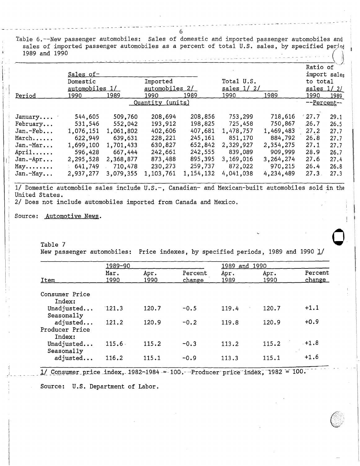Table 6.--New passenger automobiles: Sales of domestic and imported passenger automobiles and sales of imported passenger automobiles as a percent of total U.S. sales, by specified period 1989 and 1990 .------------- \_\_ · ----- . ( <sup>~</sup>

|            | Sales of-<br>Domestic<br>automobiles 1/ |           | Imported<br>automobiles 2/ |             | Total U.S.<br>$sales$ $1/2/$ |           | Ratio of<br>import sales<br>to total<br>$sales$ $1/2/$ |      |
|------------|-----------------------------------------|-----------|----------------------------|-------------|------------------------------|-----------|--------------------------------------------------------|------|
| Period     | 1990                                    | 1989      | 1990                       | 1989        | <u> 1990 </u>                | 1989      | 1990                                                   | 1989 |
|            |                                         |           | Quantity (units)           |             |                              |           | --Percent--                                            |      |
| January    | 544,605                                 | 509,760   | 208,694                    | 208,856     | 753,299                      | 718,616   | 27.7                                                   | 29.1 |
| February   | 531,546                                 | 552,042   | 193,912                    | 198,825     | 725,458                      | 750,867   | 26.7                                                   | 26.5 |
| Jan.-Feb   | 1,076.151                               | 1,061,802 | 402,606                    | 407,681     | 1,478,757                    | 1,469,483 | 27.2                                                   | 27.7 |
| March      | 622,949                                 | 639,631   | 228,221                    | 245,161     | 851,170                      | 884,792   | 26.8                                                   | 27.7 |
| Jan.-Mar   | 1,699,100                               | 1,701,433 | 630,827                    | 652,842     | 2,329,927                    | 2,354,275 | 27.1                                                   | 27.7 |
| April      | 596,428                                 | 667,444   | 242,661                    | 242,555     | 839,089                      | 909,999   | 28.9                                                   | 26.7 |
| $Jan.-Apr$ | 2,295,528                               | 2,368,877 | 873,488                    | 895,395     | 3,169,016                    | 3,264,274 | 27.6                                                   | 27.4 |
| May        | 641,749                                 | 710,478   | 230,273                    | 259,737     | 872,022                      | 970,215   | 26.4                                                   | 26.8 |
| $Jan.-May$ | 2,937,277                               | 3,079,355 | 1,103,761                  | 1, 154, 132 | 4,041,038                    | 4,234,489 | 27.3                                                   | 27.3 |

1/ Domestic automobile sales include U.S.-, Canadian- and Mexican-built automobiles sold in the United States.

2/ Does not include automobiles imported from Canada and Mexico.

Source: Automotive News.

į. I.  $\mathbf{1}$ 

Table 7 **0**  New passenger automobiles: Price indexes, by specified periods, 1989 and 1990 1/

|     |                                      | 1989-90      |              |                   | 1989 and 1990 |              |                          |
|-----|--------------------------------------|--------------|--------------|-------------------|---------------|--------------|--------------------------|
|     | Item                                 | Mar.<br>1990 | Apr.<br>1990 | Percent<br>change | Apr.<br>1989  | Apr.<br>1990 | Percent<br><u>change</u> |
|     | Consumer Price<br>Index:             |              |              |                   |               |              |                          |
| -11 | Unadjusted<br>Seasonally             | 121.3        | 120.7        | $-0.5$            | 119.4         | 120.7        | $+1.1$                   |
|     | adjusted<br>Producer Price<br>Index: | 121.2        | 120.9        | $-0.2$            | 119.8         | 120.9        | $+0.9$                   |
|     | Unadjusted<br>Seasonally             | 115.6        | 115.2        | $-0.3$            | 113.2         | 115.2        | $-+1.8$                  |
|     | adjusted                             | 116.2        | 115.1        | $-0.9$            | 113.3         | 115.1        | $+1.6$                   |

*1*/ Consumer price index, 1982-1984 -= 100. - Producer price index, 1982 = 100.

Source: U.S. Department of Labor.

# --- -- - - - - - - - - -- - --- ---------- ------ - --------- 6 ---- --- .,. \_\_ --- - - - - <sup>~</sup>- - - - - -- - - - - - - - - - -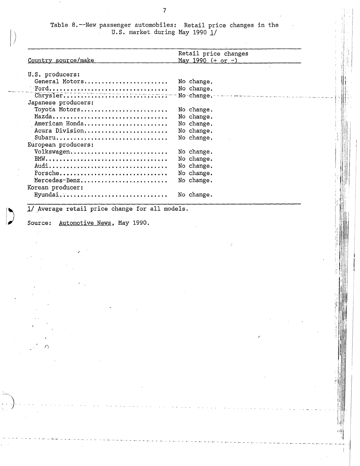Table 8.--New passenger automobiles: Retail price changes in the U.S. market during May 1990  $1/$ 

. I  $^i$   $\vert$ :I

ï

иĤ  $\overline{1}$  $\frac{1}{2}$ 

| Country source/make                   | Retail price changes<br>May 1990 $(+ or -)$ |
|---------------------------------------|---------------------------------------------|
|                                       |                                             |
| U.S. producers:<br>General Motors     | No change.                                  |
|                                       | No change.                                  |
| $\frac{1}{\text{Chrysler}}$           | No change.                                  |
| Japanese producers:                   |                                             |
| Toyota Motors                         | No change.                                  |
| Mazda                                 | No change.                                  |
| American Honda                        | No change.                                  |
| Acura Division                        | No change.                                  |
| Subaru                                | No change.                                  |
| European producers:                   |                                             |
| Volkswagen                            | No change.                                  |
|                                       | No change.                                  |
| Audi                                  | No change.                                  |
| Porsche<br>Mercedes-Benz              | No change.                                  |
| Korean producer:                      | No change.                                  |
| Hyundai                               | No change.                                  |
|                                       |                                             |
| Automotive News, May 1990.<br>Source: |                                             |
|                                       |                                             |
|                                       |                                             |
|                                       |                                             |
|                                       |                                             |
|                                       |                                             |
|                                       |                                             |
|                                       |                                             |
|                                       |                                             |
|                                       |                                             |
|                                       |                                             |
|                                       |                                             |
|                                       |                                             |
|                                       |                                             |
|                                       |                                             |
|                                       |                                             |
|                                       |                                             |
|                                       |                                             |
|                                       |                                             |
|                                       |                                             |
|                                       |                                             |
|                                       |                                             |

-- -------------- ------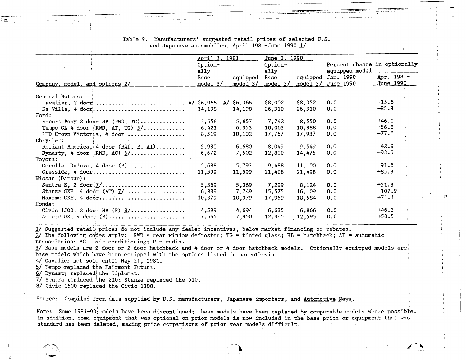|                                       | April 1, 1981 |                      | <u>June 1, 1990</u> |         |                              |            |
|---------------------------------------|---------------|----------------------|---------------------|---------|------------------------------|------------|
|                                       | Option-       |                      | Option-             |         | Percent change in optionally |            |
|                                       | ally          |                      | ally                |         | equipped model               |            |
|                                       | Base          | equipped             | Base                |         | equipped Jan. 1990-          | Apr. 1981- |
| <u>Company, model, and options 2/</u> | $mode1$ 3/    | model <sub>3</sub> / | model $3/$          |         | mode1 3/ June 1990           | June 1990  |
|                                       |               |                      |                     |         |                              |            |
| General Motors:                       |               |                      |                     |         |                              |            |
|                                       |               | $4/$ \$6,966         | \$8,002             | \$8,052 | 0.0                          | $+15.6$    |
|                                       | 14,198        | 14,198               | 26,310              | 26,310  | 0.0                          | $+85.3$    |
| Ford:                                 |               |                      |                     |         |                              |            |
| Escort Pony 2 door HB (RWD, TG)       | 5,556         | 5,857                | 7,742               | 8,550   | 0.0                          | $+46.0$    |
| Tempo GL 4 door (RWD, AT, TG) $5/$    | 6,421         | 6,953                | 10,063              | 10,888  | 0.0                          | $+56.6$    |
| LTD Crown Victoria, 4 door            | 8,519         | 10,102               | 17,767              | 17,937  | 0.0                          | $+77.6$    |
| Chrysler:                             |               |                      |                     |         |                              |            |
| Reliant America, 4 door (RWD, R, AT)  | 5,980         | 6,680                | 8,049               | 9,549   | 0.0                          | $+42.9$    |
| Dynasty, 4 door (RWD, AC) $6/$        | 6,672         | 7,502                | 12,800              | 14,475  | 0.0                          | $+92.9$    |
| Toyota:                               |               |                      |                     |         |                              |            |
| Corolla, Deluxe, $4$ door (R)         | 5,688         | 5,793                | 9,488               | 11,100  | 0.0                          | $+91.6$    |
| Cressida, 4 door                      | 11,599        | 11,599               | 21,498              | 21,498  | 0.0                          | $+85.3$    |
| Nissan (Datsun):                      |               |                      |                     |         |                              |            |
|                                       | 5,369         | 5,369                | 7,299               | 8,124   | 0.0                          | $+51.3$    |
| Stanza GXE, 4 door (AT) $1/$          | 6,839         | 7,749                | 15,575              | 16,109  | 0.0                          | $+107.9$   |
| Maxima GXE, 4 door                    | 10,379        | 10,379               | 17,959              | 18,584  | 0.0                          | $+71.1$    |
| Honda:                                |               |                      |                     |         |                              |            |
|                                       | 4,599         | 4,694                | 6,635               | 6,866   | 0.0                          | $+46.3$    |
| Accord DX, 4 door $(R)$               | 7,645         | 7,950                | 12,345              | 12,595  | 0.0                          | $+58.5$    |

i. ' ::0 <sup>I</sup> J

I \_I

Table 9.--Manufacturers' suggested retail prices of selected U.S. and Japanese automobiles, April 1981-June 1990 1/

1/ Suggested retail prices do not include any dealer incentives, below-market financing or rebates.

 $2/$  The following codes apply: RWD = rear window defroster; TG = tinted glass; HB = hatchback; AT = automatic transmission;  $AC = air$  conditioning;  $R = radio$ .

l/ Base models are *Q* door or 2 door hatchback and 4 door or 4 door hatchback models. Optionally equipped models are1 base models which have been equipped with the options listed in parenthesis.

*!±I* Cavalier not sola until May 21, 1981.

*5.1* Tempo replaced the Fairmont Futura.

6/ Dynasty replaced the Diplomat.

II Sentra replaced the *21a;* Stanza replaced the 510.

8/ Civic 1500 replaced the Civic 1300. I

I

Source: Compiled from data supplied by U.S. manufacturers, Japanese importers, and  $\hbox{\LARGE Automotive News}$ .

Note: Some 1981-90 models have been discontinued; these models have been replaced by comparable models where possible. In addition, some equipment that was optional on prior models is now included in the base price or equipment that was standard has been deleted, making price comparisons of prior-year models difficult.